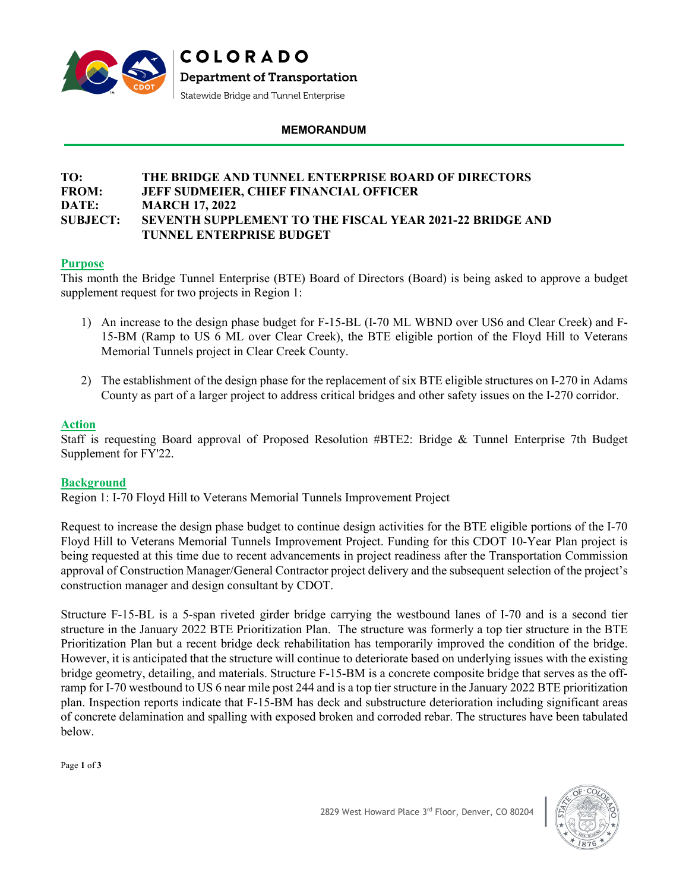

## **MEMORANDUM**

## **TO: THE BRIDGE AND TUNNEL ENTERPRISE BOARD OF DIRECTORS FROM: JEFF SUDMEIER, CHIEF FINANCIAL OFFICER DATE: MARCH 17, 2022 SUBJECT: SEVENTH SUPPLEMENT TO THE FISCAL YEAR 2021-22 BRIDGE AND TUNNEL ENTERPRISE BUDGET**

## **Purpose**

This month the Bridge Tunnel Enterprise (BTE) Board of Directors (Board) is being asked to approve a budget supplement request for two projects in Region 1:

- 1) An increase to the design phase budget for F-15-BL (I-70 ML WBND over US6 and Clear Creek) and F-15-BM (Ramp to US 6 ML over Clear Creek), the BTE eligible portion of the Floyd Hill to Veterans Memorial Tunnels project in Clear Creek County.
- 2) The establishment of the design phase for the replacement of six BTE eligible structures on I-270 in Adams County as part of a larger project to address critical bridges and other safety issues on the I-270 corridor.

## **Action**

Staff is requesting Board approval of Proposed Resolution #BTE2: Bridge & Tunnel Enterprise 7th Budget Supplement for FY'22.

## **Background**

Region 1: I-70 Floyd Hill to Veterans Memorial Tunnels Improvement Project

Request to increase the design phase budget to continue design activities for the BTE eligible portions of the I-70 Floyd Hill to Veterans Memorial Tunnels Improvement Project. Funding for this CDOT 10-Year Plan project is being requested at this time due to recent advancements in project readiness after the Transportation Commission approval of Construction Manager/General Contractor project delivery and the subsequent selection of the project's construction manager and design consultant by CDOT.

Structure F-15-BL is a 5-span riveted girder bridge carrying the westbound lanes of I-70 and is a second tier structure in the January 2022 BTE Prioritization Plan. The structure was formerly a top tier structure in the BTE Prioritization Plan but a recent bridge deck rehabilitation has temporarily improved the condition of the bridge. However, it is anticipated that the structure will continue to deteriorate based on underlying issues with the existing bridge geometry, detailing, and materials. Structure F-15-BM is a concrete composite bridge that serves as the offramp for I-70 westbound to US 6 near mile post 244 and is a top tier structure in the January 2022 BTE prioritization plan. Inspection reports indicate that F-15-BM has deck and substructure deterioration including significant areas of concrete delamination and spalling with exposed broken and corroded rebar. The structures have been tabulated below.

Page **1** of **3**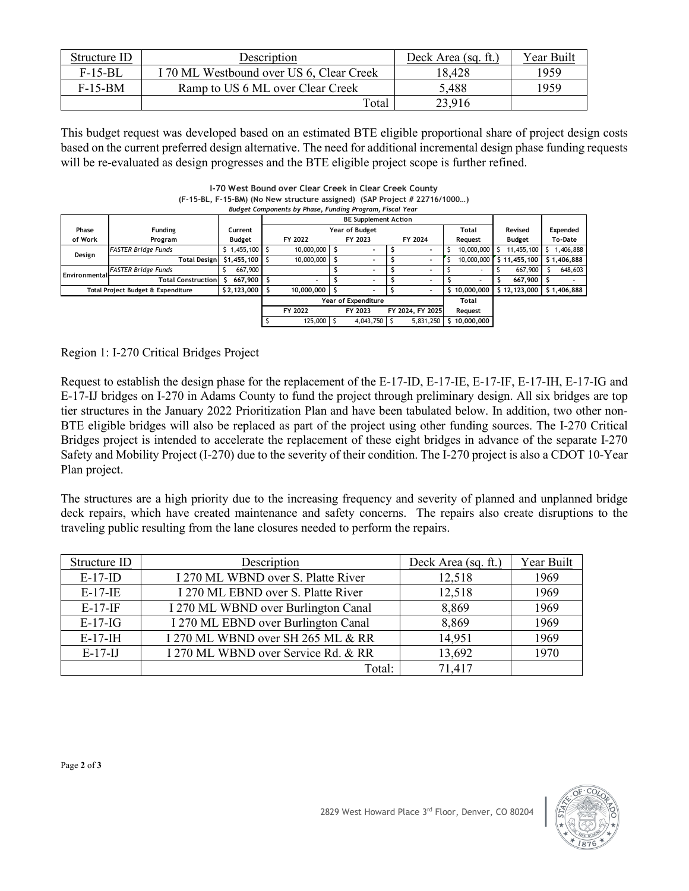| Structure ID | Description                              | Deck Area (sq. ft.) | Year Built |
|--------------|------------------------------------------|---------------------|------------|
| $F-15-BL$    | I 70 ML Westbound over US 6, Clear Creek | 18,428              | 1959       |
| $F-15-BM$    | Ramp to US 6 ML over Clear Creek         | 5,488               | 1959       |
|              | Total                                    | 23,916              |            |

This budget request was developed based on an estimated BTE eligible proportional share of project design costs based on the current preferred design alternative. The need for additional incremental design phase funding requests will be re-evaluated as design progresses and the BTE eligible project scope is further refined.

**I-70 West Bound over Clear Creek in Clear Creek County (F-15-BL, F-15-BM) (No New structure assigned) (SAP Project # 22716/1000…)** *Budget Components by Phase, Funding Program, Fiscal Year*

|                                    |                            |                   |                            | <b>BE Supplement Action</b> |  |                |  |                  |    |                          |               |             |
|------------------------------------|----------------------------|-------------------|----------------------------|-----------------------------|--|----------------|--|------------------|----|--------------------------|---------------|-------------|
| Phase                              | Funding<br>Current         |                   | Year of Budget             |                             |  |                |  |                  |    | Total                    | Revised       | Expended    |
| of Work                            | Program                    | Budget            |                            | FY 2022                     |  | FY 2023        |  | FY 2024          |    | Request                  | <b>Budget</b> | To-Date     |
|                                    | <b>FASTER Bridge Funds</b> | $$1,455,100$ \ \$ |                            | 10,000,000                  |  |                |  |                  |    | 10,000,000               | 11,455,100    | 1,406,888   |
| Design                             | Total Designl              | $$1,455,100$ \ \$ |                            | 10,000,000                  |  |                |  |                  |    | 10,000,000               | \$11,455,100  | \$1,406,888 |
| <b>Environmental</b>               | <b>FASTER Bridge Funds</b> | 667,900           |                            |                             |  |                |  |                  |    | $\overline{\phantom{a}}$ | 667,900       | 648,603     |
|                                    | <b>Total Construction</b>  | $667.900$ S       |                            |                             |  |                |  |                  |    | $\overline{\phantom{0}}$ | 667,900       |             |
| Total Project Budget & Expenditure |                            | \$2,123,000       |                            | 10.000.000                  |  |                |  |                  | Ŝ. | 10,000,000               | \$12,123,000  | \$1,406,888 |
|                                    |                            |                   | <b>Year of Expenditure</b> |                             |  |                |  |                  |    | Total                    |               |             |
|                                    |                            |                   |                            | FY 2022                     |  | FY 2023        |  | FY 2024, FY 2025 |    | Reauest                  |               |             |
|                                    |                            |                   |                            | 125,000                     |  | $4,043,750$ \$ |  | 5,831,250        | Ŝ  | 10,000,000               |               |             |

Region 1: I-270 Critical Bridges Project

Request to establish the design phase for the replacement of the E-17-ID, E-17-IE, E-17-IF, E-17-IH, E-17-IG and E-17-IJ bridges on I-270 in Adams County to fund the project through preliminary design. All six bridges are top tier structures in the January 2022 Prioritization Plan and have been tabulated below. In addition, two other non-BTE eligible bridges will also be replaced as part of the project using other funding sources. The I-270 Critical Bridges project is intended to accelerate the replacement of these eight bridges in advance of the separate I-270 Safety and Mobility Project (I-270) due to the severity of their condition. The I-270 project is also a CDOT 10-Year Plan project.

The structures are a high priority due to the increasing frequency and severity of planned and unplanned bridge deck repairs, which have created maintenance and safety concerns. The repairs also create disruptions to the traveling public resulting from the lane closures needed to perform the repairs.

| Structure ID | Description                         | Deck Area (sq. ft.) | Year Built |
|--------------|-------------------------------------|---------------------|------------|
| $E-17-ID$    | I 270 ML WBND over S. Platte River  | 12,518              | 1969       |
| $E-17-E$     | I 270 ML EBND over S. Platte River  | 12,518              | 1969       |
| $E-17-IF$    | I 270 ML WBND over Burlington Canal | 8,869               | 1969       |
| $E-17-IG$    | I 270 ML EBND over Burlington Canal | 8,869               | 1969       |
| $E-17-H$     | I 270 ML WBND over SH 265 ML & RR   | 14,951              | 1969       |
| $E-17-IJ$    | I 270 ML WBND over Service Rd. & RR | 13,692              | 1970       |
|              | Total:                              | 71,417              |            |